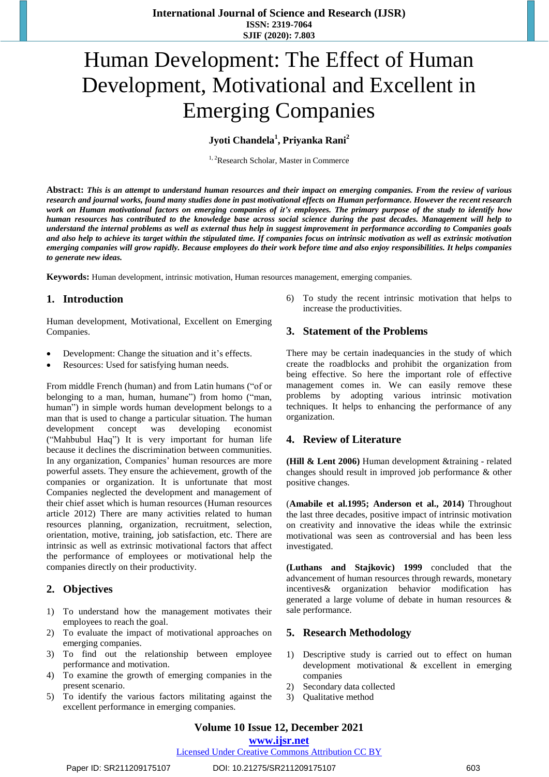# Human Development: The Effect of Human Development, Motivational and Excellent in Emerging Companies

**Jyoti Chandela<sup>1</sup> , Priyanka Rani<sup>2</sup>**

<sup>1, 2</sup>Research Scholar, Master in Commerce

Abstract: This is an attempt to understand human resources and their impact on emerging companies. From the review of various research and journal works, found many studies done in past motivational effects on Human performance. However the recent research work on Human motivational factors on emerging companies of it's employees. The primary purpose of the study to identify how human resources has contributed to the knowledge base across social science during the past decades. Management will help to understand the internal problems as well as external thus help in suggest improvement in performance according to Companies goals and also help to achieve its target within the stipulated time. If companies focus on intrinsic motivation as well as extrinsic motivation emerging companies will grow rapidly. Because employees do their work before time and also enjoy responsibilities. It helps companies *to generate new ideas.* 

**Keywords:** Human development, intrinsic motivation, Human resources management, emerging companies.

## **1. Introduction**

Human development, Motivational, Excellent on Emerging Companies.

- Development: Change the situation and it's effects.
- Resources: Used for satisfying human needs.

From middle French (human) and from Latin humans ("of or belonging to a man, human, humane") from homo ("man, human") in simple words human development belongs to a man that is used to change a particular situation. The human development concept was developing economist ("Mahbubul Haq") It is very important for human life because it declines the discrimination between communities. In any organization, Companies' human resources are more powerful assets. They ensure the achievement, growth of the companies or organization. It is unfortunate that most Companies neglected the development and management of their chief asset which is human resources (Human resources article 2012) There are many activities related to human resources planning, organization, recruitment, selection, orientation, motive, training, job satisfaction, etc. There are intrinsic as well as extrinsic motivational factors that affect the performance of employees or motivational help the companies directly on their productivity.

## **2. Objectives**

- 1) To understand how the management motivates their employees to reach the goal.
- 2) To evaluate the impact of motivational approaches on emerging companies.
- 3) To find out the relationship between employee performance and motivation.
- 4) To examine the growth of emerging companies in the present scenario.
- 5) To identify the various factors militating against the excellent performance in emerging companies.

6) To study the recent intrinsic motivation that helps to increase the productivities.

#### **3. Statement of the Problems**

There may be certain inadequancies in the study of which create the roadblocks and prohibit the organization from being effective. So here the important role of effective management comes in. We can easily remove these problems by adopting various intrinsic motivation techniques. It helps to enhancing the performance of any organization.

#### **4. Review of Literature**

**(Hill & Lent 2006)** Human development &training - related changes should result in improved job performance & other positive changes.

(**Amabile et al.1995; Anderson et al., 2014)** Throughout the last three decades, positive impact of intrinsic motivation on creativity and innovative the ideas while the extrinsic motivational was seen as controversial and has been less investigated.

**(Luthans and Stajkovic) 1999** concluded that the advancement of human resources through rewards, monetary incentives& organization behavior modification has generated a large volume of debate in human resources & sale performance.

#### **5. Research Methodology**

- Descriptive study is carried out to effect on human development motivational & excellent in emerging companies
- 2) Secondary data collected
- 3) Qualitative method

#### **www.ijsr.net**

## Licensed Under Creative Commons Attribution CC BY